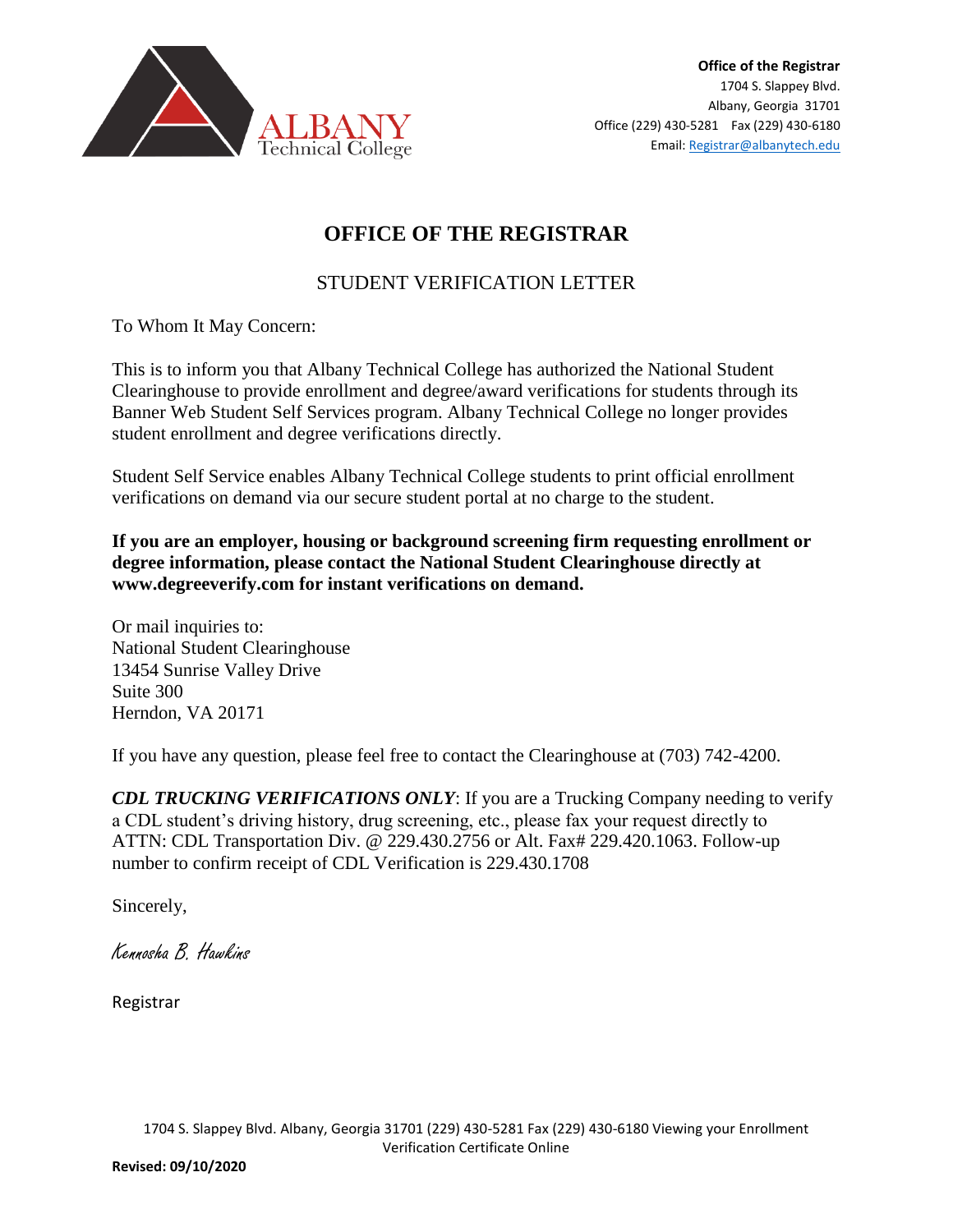

## **OFFICE OF THE REGISTRAR**

## STUDENT VERIFICATION LETTER

To Whom It May Concern:

This is to inform you that Albany Technical College has authorized the National Student Clearinghouse to provide enrollment and degree/award verifications for students through its Banner Web Student Self Services program. Albany Technical College no longer provides student enrollment and degree verifications directly.

Student Self Service enables Albany Technical College students to print official enrollment verifications on demand via our secure student portal at no charge to the student.

**If you are an employer, housing or background screening firm requesting enrollment or degree information, please contact the National Student Clearinghouse directly at www.degreeverify.com for instant verifications on demand.** 

Or mail inquiries to: National Student Clearinghouse 13454 Sunrise Valley Drive Suite 300 Herndon, VA 20171

If you have any question, please feel free to contact the Clearinghouse at (703) 742-4200.

*CDL TRUCKING VERIFICATIONS ONLY*: If you are a Trucking Company needing to verify a CDL student's driving history, drug screening, etc., please fax your request directly to ATTN: CDL Transportation Div. @ 229.430.2756 or Alt. Fax# 229.420.1063. Follow-up number to confirm receipt of CDL Verification is 229.430.1708

Sincerely,

Kennosha B. Hawkins

Registrar